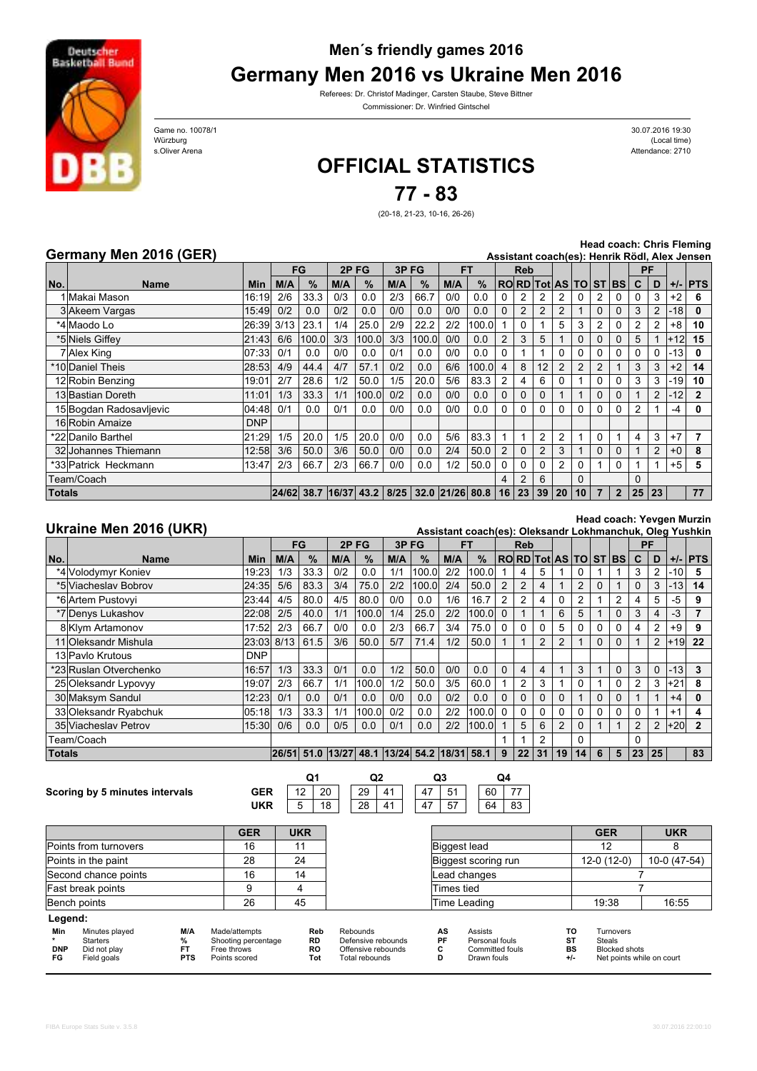

## **Men´s friendly games 2016 Germany Men 2016 vs Ukraine Men 2016**

Referees: Dr. Christof Madinger, Carsten Staube, Steve Bittner Commissioner: Dr. Winfried Gintschel

Attendance: 2710 Würzburg (Local time) 30.07.2016 19:30<br>(Local time)

Game no. 10078/1<br>Würzburg s.Oliver Arena

## **OFFICIAL STATISTICS**

**77 - 83**

(20-18, 21-23, 10-16, 26-26)

## **Germany Men 2016 (GER)**

**Head coach: Chris Fleming**

|               | Germany men 2016 (GER)<br>Assistant coach(es): Henrik Rödl, Alex Jensen |            |     |                                   |      |       |      |                   |     |       |                |          |          |                      |                |                |                |          |                |       |                |
|---------------|-------------------------------------------------------------------------|------------|-----|-----------------------------------|------|-------|------|-------------------|-----|-------|----------------|----------|----------|----------------------|----------------|----------------|----------------|----------|----------------|-------|----------------|
|               |                                                                         |            | FG  |                                   | 2PFG |       | 3PFG |                   | FT  |       | <b>Reb</b>     |          |          |                      |                |                |                | PF       |                |       |                |
| No.           | <b>Name</b>                                                             | Min.       | M/A | %                                 | M/A  | %     | M/A  | %                 | M/A | $\%$  |                |          |          | RORD Tot AS TO ST BS |                |                |                | C        | D              |       | $+/-$ PTS      |
|               | 1 Makai Mason                                                           | 16:19      | 2/6 | 33.3                              | 0/3  | 0.0   | 2/3  | 66.7              | 0/0 | 0.0   |                |          |          |                      |                |                |                |          |                | $+2$  | 6              |
|               | 3 Akeem Vargas                                                          | 15:49      | 0/2 | 0.0                               | 0/2  | 0.0   | 0/0  | 0.0               | 0/0 | 0.0   |                | 2        | 2        | $\overline{2}$       |                | 0              | 0              | 3        |                | $-18$ | 0              |
|               | *4 Maodo Lo                                                             | 26:39 3/13 |     | 23.1                              | 1/4  | 25.0  | 2/9  | 22.2              | 2/2 | 100.0 |                | 0        |          | 5                    | 3              |                | 0              |          |                | $+8$  | 10             |
|               | *5 Niels Giffey                                                         | 21:43      | 6/6 | 100.0                             | 3/3  | 100.0 | 3/3  | 100.0             | 0/0 | 0.0   | 2              | 3        | 5        |                      | 0              |                | 0              | 5        |                | $+12$ | 15             |
|               | 7 Alex King                                                             | 07:33      | 0/1 | 0.0                               | 0/0  | 0.0   | 0/1  | 0.0               | 0/0 | 0.0   | 0              |          |          | 0                    | 0              | 0              | 0              |          | $\Omega$       | $-13$ | 0              |
|               | *10 Daniel Theis                                                        | 28:53      | 4/9 | 44.4                              | 4/7  | 57.1  | 0/2  | 0.0               | 6/6 | 100.0 | 4              | 8        | 12       | 2                    | $\overline{2}$ | $\overline{2}$ |                | 3        | 3              | $+2$  | 14             |
|               | 12 Robin Benzing                                                        | 19:01      | 2/7 | 28.6                              | 1/2  | 50.0  | 1/5  | 20.0              | 5/6 | 83.3  | 2              | 4        | 6        |                      |                | 0              | 0              | 3        | 3              | $-19$ | 10             |
|               | 13 Bastian Doreth                                                       | 11:01      | 1/3 | 33.3                              | 1/1  | 100.0 | 0/2  | 0.0               | 0/0 | 0.0   |                | 0        |          |                      |                | 0              | $\Omega$       |          | $\overline{2}$ | $-12$ | $\overline{2}$ |
|               | 15 Bogdan Radosavljevic                                                 | 04:481     | 0/1 | 0.0                               | 0/1  | 0.0   | 0/0  | 0.0               | 0/0 | 0.0   | 0              | O        | $\Omega$ |                      | 0              | 0              | 0              | 2        |                | -4    | 0              |
|               | 16 Robin Amaize                                                         | <b>DNP</b> |     |                                   |      |       |      |                   |     |       |                |          |          |                      |                |                |                |          |                |       |                |
|               | *22 Danilo Barthel                                                      | 21:29      | 1/5 | 20.0                              | 1/5  | 20.0  | 0/0  | 0.0               | 5/6 | 83.3  |                |          | 2        | 2                    |                | 0              |                | 4        | 3              | $+7$  |                |
|               | 32 Johannes Thiemann                                                    | 12:58      | 3/6 | 50.0                              | 3/6  | 50.0  | 0/0  | 0.0               | 2/4 | 50.0  | $\overline{2}$ | 0        | 2        | 3                    |                | 0              | 0              |          | $\overline{2}$ | $+0$  | 8              |
|               | *33 Patrick Heckmann                                                    | 13:47      | 2/3 | 66.7                              | 2/3  | 66.7  | 0/0  | 0.0               | 1/2 | 50.0  | 0              | $\Omega$ | $\Omega$ | $\overline{2}$       | 0              |                | $\Omega$       |          |                | $+5$  | 5              |
| Team/Coach    |                                                                         |            |     |                                   |      |       |      |                   |     |       | 4              | 2        | 6        |                      | $\Omega$       |                |                | $\Omega$ |                |       |                |
| <b>Totals</b> |                                                                         |            |     | $ 24/62 $ 38.7 $ 16/37 $ 43.2 $ $ |      |       | 8/25 | $32.0$ 21/26 80.8 |     |       | 16             | 23       | 39       | 20                   | 10             |                | $\overline{2}$ | 25       | 23             |       | 77             |

## **Ukraine Men 2016 (UKR)**

**Head coach: Yevgen Murzin**

| UKraine Men 2016 (UKR) |                        |            |            |      |      |                                       |     |       |            | Assistant coach(es): Oleksandr Lokhmanchuk, Oleg Yushkin |                |          |               |                |           |          |                      |                |                |         |                |
|------------------------|------------------------|------------|------------|------|------|---------------------------------------|-----|-------|------------|----------------------------------------------------------|----------------|----------|---------------|----------------|-----------|----------|----------------------|----------------|----------------|---------|----------------|
|                        |                        |            | FG<br>2PFG |      | 3PFG |                                       | FT  |       | <b>Reb</b> |                                                          |                |          |               |                | <b>PF</b> |          |                      |                |                |         |                |
| No.                    | <b>Name</b>            | <b>Min</b> | M/A        | $\%$ | M/A  | $\%$                                  | M/A | $\%$  | M/A        | $\%$                                                     |                |          |               |                |           |          | RORD Tot AS TO ST BS | C              | D              |         | $+/-$ PTS      |
|                        | *4 Volodymyr Koniev    | 19:23      | 1/3        | 33.3 | 0/2  | 0.0                                   | 1/1 | 100.0 | 2/2        | 100.0                                                    |                |          | 5.            |                |           |          |                      | 3              | $\overline{2}$ | $ -10 $ | 5              |
|                        | *5 Viacheslav Bobrov   | 24:35      | 5/6        | 83.3 | 3/4  | 75.0                                  | 2/2 | 100.0 | 2/4        | 50.0                                                     | $\overline{2}$ | 2        | 4             |                | 2         | $\Omega$ |                      | $\Omega$       | 3              | $ -13 $ | 14             |
|                        | *6 Artem Pustovyi      | 23:44      | 4/5        | 80.0 | 4/5  | 80.0                                  | 0/0 | 0.0   | 1/6        | 16.7                                                     | 2              | 2        | 4             | 0              | 2         |          | 2                    | 4              | 5              | $-5$    | 9              |
|                        | *7 Denys Lukashov      | 22:08      | 2/5        | 40.0 | 1/1  | 100.0                                 | 1/4 | 25.0  | 2/2        | 100.0                                                    | $\Omega$       |          |               | 6              | 5         |          | $\Omega$             | 3              | 4              | -3      |                |
|                        | 8 Klym Artamonov       | 17:52      | 2/3        | 66.7 | 0/0  | 0.0                                   | 2/3 | 66.7  | 3/4        | 75.0                                                     | $\Omega$       | $\Omega$ |               | 5              |           |          |                      |                | 2              | $+9$    | 9              |
|                        | 11 Oleksandr Mishula   | 23:03 8/13 |            | 61.5 | 3/6  | 50.0                                  | 5/7 | 71.4  | 1/2        | 50.0                                                     |                |          | $\mathcal{P}$ | $\overline{2}$ |           | $\Omega$ |                      |                | 2              | $+19$   | 22             |
|                        | 13 Pavlo Krutous       | <b>DNP</b> |            |      |      |                                       |     |       |            |                                                          |                |          |               |                |           |          |                      |                |                |         |                |
|                        | *23 Ruslan Otverchenko | 16:57      | 1/3        | 33.3 | 0/1  | 0.0                                   | 1/2 | 50.0  | 0/0        | 0.0                                                      | $\Omega$       | 4        | 4             |                | 3         |          | $\mathbf 0$          | 3              | $\Omega$       | $ -13 $ | 3              |
|                        | 25 Oleksandr Lypovyy   | 19:07      | 2/3        | 66.7 | 1/1  | 100.0                                 | 1/2 | 50.0  | 3/5        | 60.0                                                     |                | 2        | 3             |                | 0         |          |                      |                | 3              | $+21$   | 8              |
|                        | 30 Maksym Sandul       | 12:23      | 0/1        | 0.0  | 0/1  | 0.0                                   | 0/0 | 0.0   | 0/2        | 0.0                                                      | $\Omega$       | $\Omega$ |               | 0              |           | $\Omega$ | 0                    |                |                | $+4$    | 0              |
|                        | 33 Oleksandr Ryabchuk  | 05:18      | 1/3        | 33.3 | 1/1  | 100.0                                 | 0/2 | 0.0   | 2/2        | 100.0                                                    | $\Omega$       | 0        |               | 0              | 0         |          |                      |                |                | $+1$    | 4              |
|                        | 35 Viacheslav Petrov   | 15:30      | 0/6        | 0.0  | 0/5  | 0.0                                   | 0/1 | 0.0   | 2/2        | 100.0                                                    |                | 5        | 6             | $\overline{2}$ | 0         |          |                      | $\overline{2}$ | $\overline{2}$ | $+20$   | $\overline{2}$ |
| Team/Coach             |                        |            |            |      |      |                                       |     |       |            |                                                          |                |          | 2             |                | 0         |          |                      | 0              |                |         |                |
| <b>Totals</b>          |                        |            | 26/51      |      |      | 51.0 13/27 48.1 13/24 54.2 18/31 58.1 |     |       |            |                                                          | 9              | 22       | 31            | 19             | 14        | 6        | 5                    | 23             | 25             |         | 83             |
|                        |                        |            |            |      |      |                                       |     |       |            |                                                          |                |          |               |                |           |          |                      |                |                |         |                |

**Scoring by 5 minutes intervals GER**

**UKR**  $12$  20  $5 \mid 18$ 20 29 41

47 57  $47 \overline{51}$ 51 60 77 64 83 **Q1 Q2 Q3 Q4**

|                         |                                                           |                                     | <b>GER</b>                                                           | <b>UKR</b>                           |                                                                        |                    |                                                                           |  | <b>GER</b>                                                                                  | <b>UKR</b>   |  |
|-------------------------|-----------------------------------------------------------|-------------------------------------|----------------------------------------------------------------------|--------------------------------------|------------------------------------------------------------------------|--------------------|---------------------------------------------------------------------------|--|---------------------------------------------------------------------------------------------|--------------|--|
| Points from turnovers   |                                                           |                                     | 16                                                                   | 11                                   |                                                                        |                    | Biggest lead                                                              |  | 12                                                                                          |              |  |
| Points in the paint     |                                                           |                                     | 28                                                                   | 24                                   | Biggest scoring run                                                    |                    |                                                                           |  | $12-0(12-0)$                                                                                | 10-0 (47-54) |  |
| Second chance points    |                                                           |                                     | 16                                                                   | 14                                   |                                                                        | Lead changes       |                                                                           |  |                                                                                             |              |  |
| Fast break points       |                                                           |                                     |                                                                      | 4                                    |                                                                        | Times tied         |                                                                           |  |                                                                                             |              |  |
|                         | Bench points                                              |                                     |                                                                      | 45                                   |                                                                        |                    | Time Leading                                                              |  | 19:38                                                                                       | 16:55        |  |
| Legend:                 |                                                           |                                     |                                                                      |                                      |                                                                        |                    |                                                                           |  |                                                                                             |              |  |
| Min<br><b>DNP</b><br>FG | Minutes played<br>Starters<br>Did not play<br>Field goals | M/A<br>%<br><b>FT</b><br><b>PTS</b> | Made/attempts<br>Shooting percentage<br>Free throws<br>Points scored | Reb<br><b>RD</b><br><b>RO</b><br>Tot | Rebounds<br>Defensive rebounds<br>Offensive rebounds<br>Total rebounds | AS<br>PF<br>С<br>D | Assists<br>Personal fouls<br>ST<br>Committed fouls<br>Drawn fouls<br>$+1$ |  | то<br>Turnovers<br>Steals<br><b>BS</b><br><b>Blocked shots</b><br>Net points while on court |              |  |

28 41